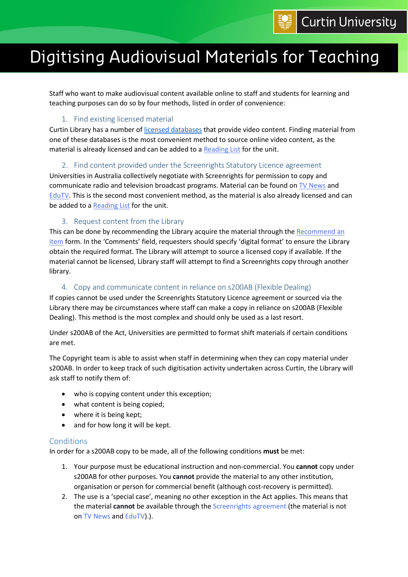# Digitising Audiovisual Materials for Teaching

Staff who want to make audiovisual content available online to staff and students for learning and teaching purposes can do so by four methods, listed in order of convenience:

# 1. Find existing licensed material

Curtin Library has a number o[f licensed databases](https://databases.library.curtin.edu.au/) that provide video content. Finding material from one of these databases is the most convenient method to source online video content, as the material is already licensed and can be added to a [Reading List](https://assets.library.curtin.edu.au/infolit/reading-lists/) for the unit.

# 2. Find content provided under the Screenrights Statutory Licence agreement

Universities in Australia collectively negotiate with Screenrights for permission to copy and communicate radio and television broadcast programs. Material can be found on [TV News](https://link.library.curtin.edu.au/gw?url=CUR_ALMA61184359460001951) and [EduTV.](https://link.library.curtin.edu.au/gw?url=CUR_ALMA61188943640001951) This is the second most convenient method, as the material is also already licensed and can be added to a [Reading List](https://assets.library.curtin.edu.au/infolit/reading-lists/) for the unit.

# 3. Request content from the Library

This can be done by recommending the Library acquire the material through the Recommend an [item](https://recommend.library.curtin.edu.au/) form. In the 'Comments' field, requesters should specify 'digital format' to ensure the Library obtain the required format. The Library will attempt to source a licensed copy if available. If the material cannot be licensed, Library staff will attempt to find a Screenrights copy through another library.

#### 4. Copy and communicate content in reliance on s200AB (Flexible Dealing)

If copies cannot be used under the Screenrights Statutory Licence agreement or sourced via the Library there may be circumstances where staff can make a copy in reliance on s200AB (Flexible Dealing). This method is the most complex and should only be used as a last resort.

Under s200AB of the Act, Universities are permitted to format shift materials if certain conditions are met.

The Copyright team is able to assist when staff in determining when they can copy material under s200AB. In order to keep track of such digitisation activity undertaken across Curtin, the Library will ask staff to notify them of:

- who is copying content under this exception;
- what content is being copied;
- where it is being kept;
- and for how long it will be kept.

# Conditions

In order for a s200AB copy to be made, all of the following conditions **must** be met:

- 1. Your purpose must be educational instruction and non-commercial. You **cannot** copy under s200AB for other purposes. You **cannot** provide the material to any other institution, organisation or person for commercial benefit (although cost-recovery is permitted).
- 2. The use is a 'special case', meaning no other exception in the Act applies. This means that the material **cannot** be available through the [Screenrights agreement](https://copyright.curtin.edu.au/teaching/) (the material is not on [TV News](https://link.library.curtin.edu.au/gw?url=CUR_ALMA61184359460001951) and [EduTV\)](https://link.library.curtin.edu.au/gw?url=CUR_ALMA61188943640001951).).